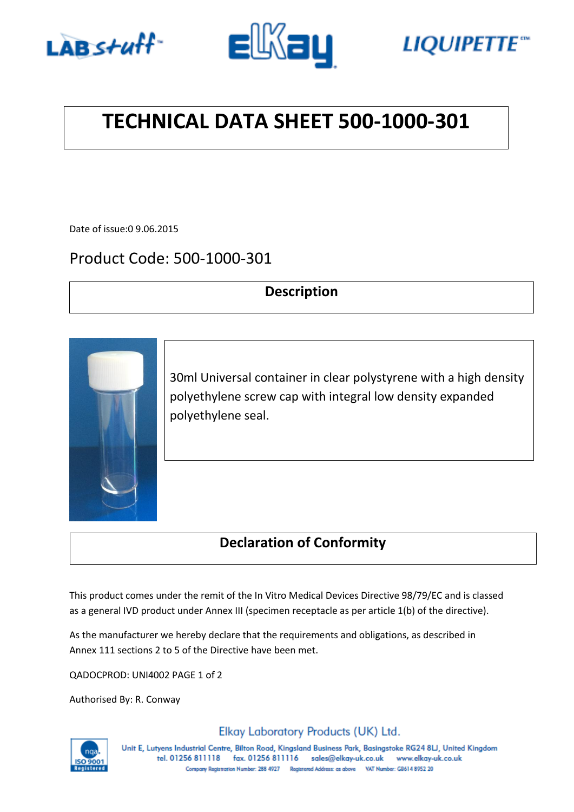





## **TECHNICAL DATA SHEET 500-1000-301**

Date of issue:0 9.06.2015

## Product Code: 500-1000-301

#### **Description**



30ml Universal container in clear polystyrene with a high density polyethylene screw cap with integral low density expanded polyethylene seal.

### **Declaration of Conformity**

This product comes under the remit of the In Vitro Medical Devices Directive 98/79/EC and is classed as a general IVD product under Annex III (specimen receptacle as per article 1(b) of the directive).

As the manufacturer we hereby declare that the requirements and obligations, as described in Annex 111 sections 2 to 5 of the Directive have been met.

QADOCPROD: UNI4002 PAGE 1 of 2

Authorised By: R. Conway



Elkay Laboratory Products (UK) Ltd.